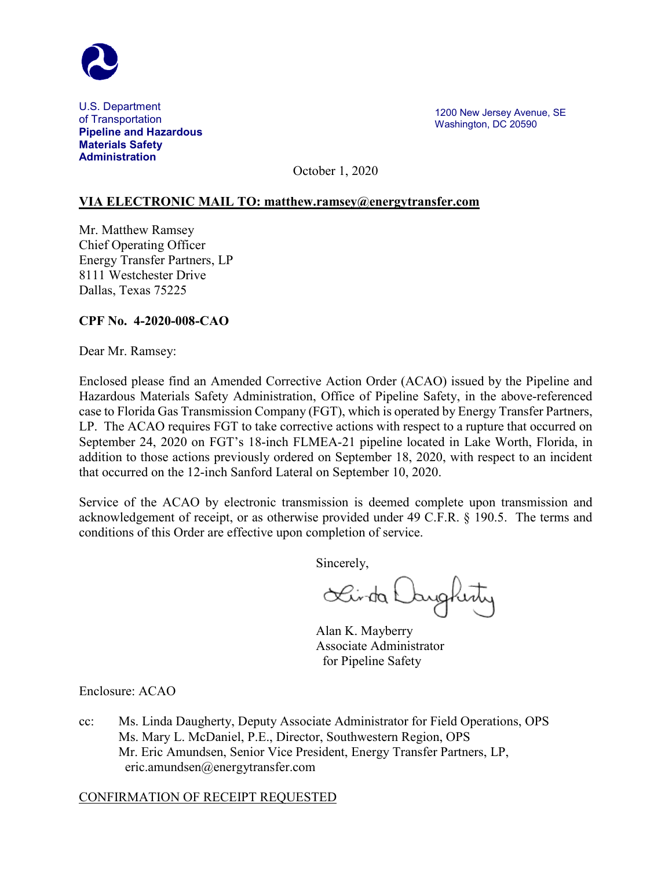

U.S. Department of Transportation **Pipeline and Hazardous Materials Safety Administration**

1200 New Jersey Avenue, SE Washington, DC 20590

October 1, 2020

## **VIA ELECTRONIC MAIL TO: [matthew.ramsey@energytransfer.com](mailto:matthew.ramsey@energytransfer.com)**

Mr. Matthew Ramsey Chief Operating Officer Energy Transfer Partners, LP 8111 Westchester Drive Dallas, Texas 75225

## **CPF No. 4-2020-008-CAO**

Dear Mr. Ramsey:

Enclosed please find an Amended Corrective Action Order (ACAO) issued by the Pipeline and Hazardous Materials Safety Administration, Office of Pipeline Safety, in the above-referenced case to Florida Gas Transmission Company (FGT), which is operated by Energy Transfer Partners, LP. The ACAO requires FGT to take corrective actions with respect to a rupture that occurred on September 24, 2020 on FGT's 18-inch FLMEA-21 pipeline located in Lake Worth, Florida, in addition to those actions previously ordered on September 18, 2020, with respect to an incident that occurred on the 12-inch Sanford Lateral on September 10, 2020.

Service of the ACAO by electronic transmission is deemed complete upon transmission and acknowledgement of receipt, or as otherwise provided under 49 C.F.R. § 190.5. The terms and conditions of this Order are effective upon completion of service.

Sincerely,

Sainta Daugherty

Alan K. Mayberry Associate Administrator for Pipeline Safety

Enclosure: ACAO

cc: Ms. Linda Daugherty, Deputy Associate Administrator for Field Operations, OPS Ms. Mary L. McDaniel, P.E., Director, Southwestern Region, OPS Mr. Eric Amundsen, Senior Vice President, Energy Transfer Partners, LP, eric.amundsen@energytransfer.com

#### CONFIRMATION OF RECEIPT REQUESTED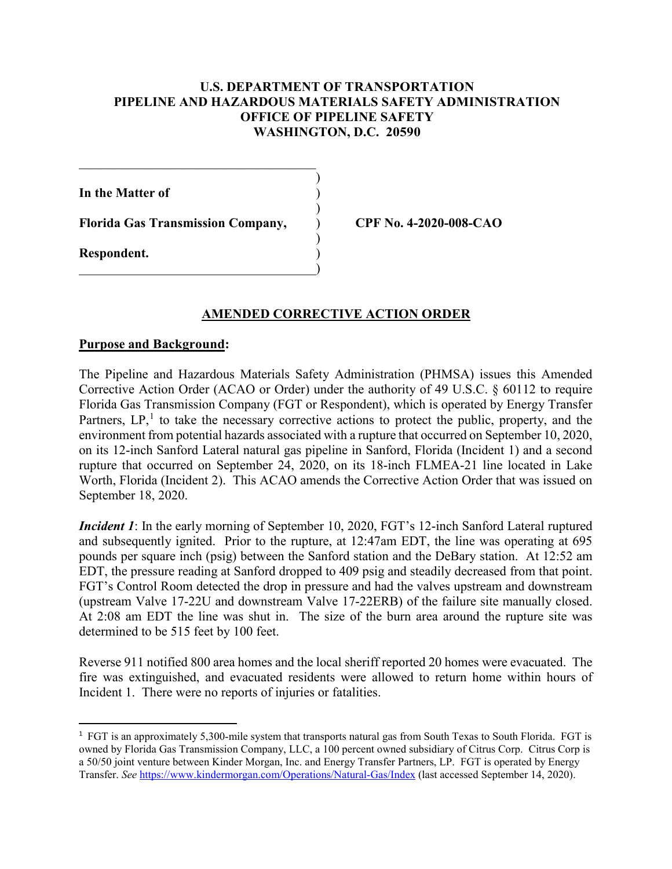## **U.S. DEPARTMENT OF TRANSPORTATION PIPELINE AND HAZARDOUS MATERIALS SAFETY ADMINISTRATION OFFICE OF PIPELINE SAFETY WASHINGTON, D.C. 20590**

)

)

**In the Matter of** )

**Florida Gas Transmission Company,** ) **CPF No. 4-2020-008-CAO**

 $)$ 

 $\hspace{.5em}$   $\hspace{.5em}$   $\hspace{.5em}$   $\hspace{.5em}$   $\hspace{.5em}$   $\hspace{.5em}$   $\hspace{.5em}$   $\hspace{.5em}$   $\hspace{.5em}$   $\hspace{.5em}$   $\hspace{.5em}$   $\hspace{.5em}$   $\hspace{.5em}$   $\hspace{.5em}$   $\hspace{.5em}$   $\hspace{.5em}$   $\hspace{.5em}$   $\hspace{.5em}$   $\hspace{.5em}$   $\hspace{.5em}$ 

 $\overline{\mathcal{L}}$  , and the set of the set of the set of the set of the set of the set of the set of the set of the set of the set of the set of the set of the set of the set of the set of the set of the set of the set of the s

**Respondent.** )

#### **AMENDED CORRECTIVE ACTION ORDER**

#### **Purpose and Background:**

The Pipeline and Hazardous Materials Safety Administration (PHMSA) issues this Amended Corrective Action Order (ACAO or Order) under the authority of 49 U.S.C. § 60112 to require Florida Gas Transmission Company (FGT or Respondent), which is operated by Energy Transfer Partners,  $LP<sub>1</sub><sup>1</sup>$  $LP<sub>1</sub><sup>1</sup>$  $LP<sub>1</sub><sup>1</sup>$  to take the necessary corrective actions to protect the public, property, and the environment from potential hazards associated with a rupture that occurred on September 10, 2020, on its 12-inch Sanford Lateral natural gas pipeline in Sanford, Florida (Incident 1) and a second rupture that occurred on September 24, 2020, on its 18-inch FLMEA-21 line located in Lake Worth, Florida (Incident 2). This ACAO amends the Corrective Action Order that was issued on September 18, 2020.

*Incident 1*: In the early morning of September 10, 2020, FGT's 12-inch Sanford Lateral ruptured and subsequently ignited. Prior to the rupture, at 12:47am EDT, the line was operating at 695 pounds per square inch (psig) between the Sanford station and the DeBary station. At 12:52 am EDT, the pressure reading at Sanford dropped to 409 psig and steadily decreased from that point. FGT's Control Room detected the drop in pressure and had the valves upstream and downstream (upstream Valve 17-22U and downstream Valve 17-22ERB) of the failure site manually closed. At 2:08 am EDT the line was shut in. The size of the burn area around the rupture site was determined to be 515 feet by 100 feet.

Reverse 911 notified 800 area homes and the local sheriff reported 20 homes were evacuated. The fire was extinguished, and evacuated residents were allowed to return home within hours of Incident 1. There were no reports of injuries or fatalities.

<span id="page-1-0"></span> $\frac{1}{1}$ <sup>1</sup> FGT is an approximately 5,300-mile system that transports natural gas from South Texas to South Florida. FGT is owned by Florida Gas Transmission Company, LLC, a 100 percent owned subsidiary of Citrus Corp. Citrus Corp is a 50/50 joint venture between Kinder Morgan, Inc. and Energy Transfer Partners, LP. FGT is operated by Energy Transfer. *See* <https://www.kindermorgan.com/Operations/Natural-Gas/Index> (last accessed September 14, 2020).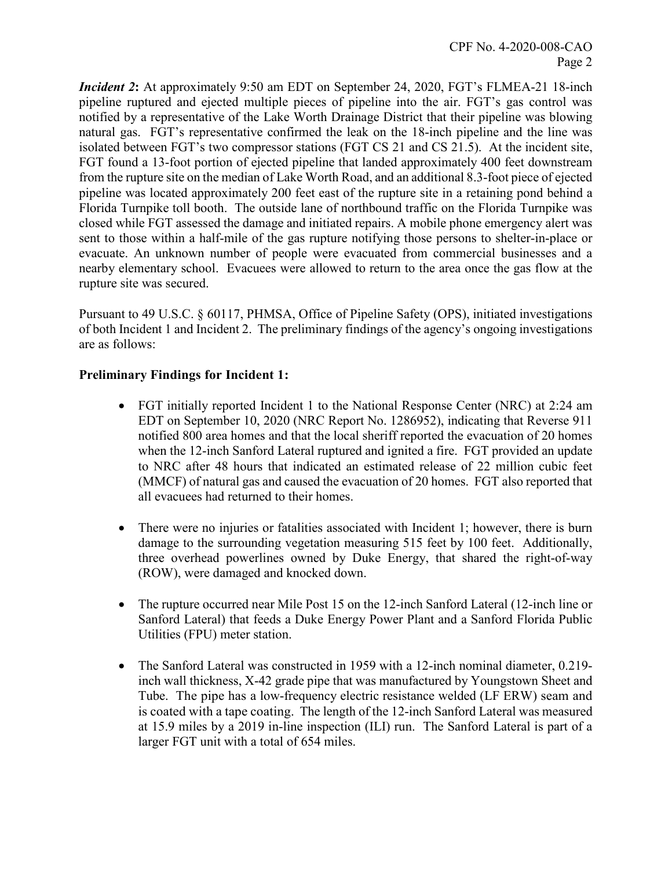*Incident 2***:** At approximately 9:50 am EDT on September 24, 2020, FGT's FLMEA-21 18-inch pipeline ruptured and ejected multiple pieces of pipeline into the air. FGT's gas control was notified by a representative of the Lake Worth Drainage District that their pipeline was blowing natural gas. FGT's representative confirmed the leak on the 18-inch pipeline and the line was isolated between FGT's two compressor stations (FGT CS 21 and CS 21.5). At the incident site, FGT found a 13-foot portion of ejected pipeline that landed approximately 400 feet downstream from the rupture site on the median of Lake Worth Road, and an additional 8.3-foot piece of ejected pipeline was located approximately 200 feet east of the rupture site in a retaining pond behind a Florida Turnpike toll booth. The outside lane of northbound traffic on the Florida Turnpike was closed while FGT assessed the damage and initiated repairs. A mobile phone emergency alert was sent to those within a half-mile of the gas rupture notifying those persons to shelter-in-place or evacuate. An unknown number of people were evacuated from commercial businesses and a nearby elementary school. Evacuees were allowed to return to the area once the gas flow at the rupture site was secured.

Pursuant to 49 U.S.C. § 60117, PHMSA, Office of Pipeline Safety (OPS), initiated investigations of both Incident 1 and Incident 2. The preliminary findings of the agency's ongoing investigations are as follows:

# **Preliminary Findings for Incident 1:**

- FGT initially reported Incident 1 to the National Response Center (NRC) at 2:24 am EDT on September 10, 2020 (NRC Report No. 1286952), indicating that Reverse 911 notified 800 area homes and that the local sheriff reported the evacuation of 20 homes when the 12-inch Sanford Lateral ruptured and ignited a fire. FGT provided an update to NRC after 48 hours that indicated an estimated release of 22 million cubic feet (MMCF) of natural gas and caused the evacuation of 20 homes. FGT also reported that all evacuees had returned to their homes.
- There were no injuries or fatalities associated with Incident 1; however, there is burn damage to the surrounding vegetation measuring 515 feet by 100 feet. Additionally, three overhead powerlines owned by Duke Energy, that shared the right-of-way (ROW), were damaged and knocked down.
- The rupture occurred near Mile Post 15 on the 12-inch Sanford Lateral (12-inch line or Sanford Lateral) that feeds a Duke Energy Power Plant and a Sanford Florida Public Utilities (FPU) meter station.
- The Sanford Lateral was constructed in 1959 with a 12-inch nominal diameter, 0.219inch wall thickness, X-42 grade pipe that was manufactured by Youngstown Sheet and Tube. The pipe has a low-frequency electric resistance welded (LF ERW) seam and is coated with a tape coating. The length of the 12-inch Sanford Lateral was measured at 15.9 miles by a 2019 in-line inspection (ILI) run. The Sanford Lateral is part of a larger FGT unit with a total of 654 miles.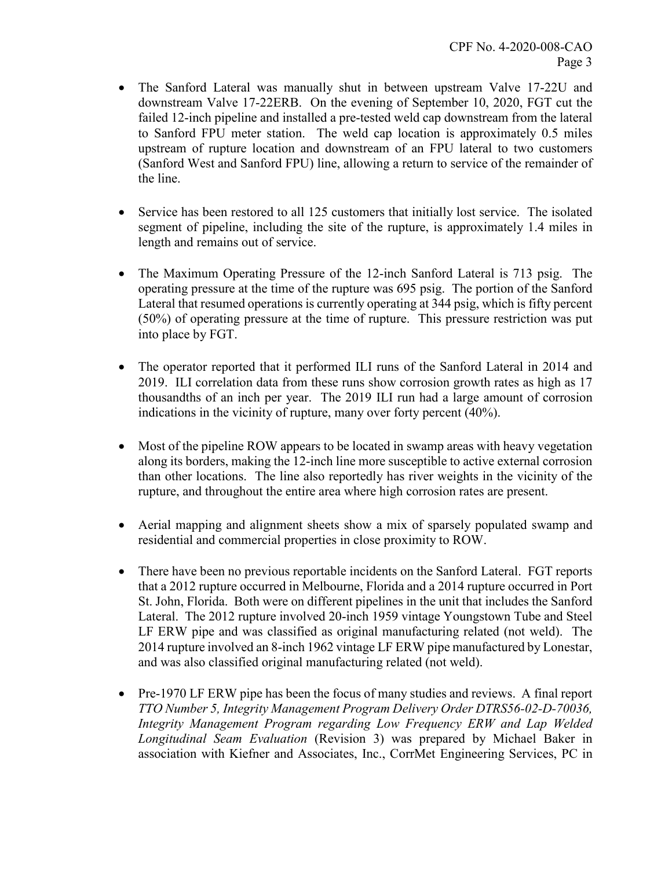- The Sanford Lateral was manually shut in between upstream Valve 17-22U and downstream Valve 17-22ERB. On the evening of September 10, 2020, FGT cut the failed 12-inch pipeline and installed a pre-tested weld cap downstream from the lateral to Sanford FPU meter station. The weld cap location is approximately 0.5 miles upstream of rupture location and downstream of an FPU lateral to two customers (Sanford West and Sanford FPU) line, allowing a return to service of the remainder of the line.
- Service has been restored to all 125 customers that initially lost service.The isolated segment of pipeline, including the site of the rupture, is approximately 1.4 miles in length and remains out of service.
- The Maximum Operating Pressure of the 12-inch Sanford Lateral is 713 psig. The operating pressure at the time of the rupture was 695 psig. The portion of the Sanford Lateral that resumed operations is currently operating at 344 psig, which is fifty percent (50%) of operating pressure at the time of rupture. This pressure restriction was put into place by FGT.
- The operator reported that it performed ILI runs of the Sanford Lateral in 2014 and 2019. ILI correlation data from these runs show corrosion growth rates as high as 17 thousandths of an inch per year. The 2019 ILI run had a large amount of corrosion indications in the vicinity of rupture, many over forty percent (40%).
- Most of the pipeline ROW appears to be located in swamp areas with heavy vegetation along its borders, making the 12-inch line more susceptible to active external corrosion than other locations. The line also reportedly has river weights in the vicinity of the rupture, and throughout the entire area where high corrosion rates are present.
- Aerial mapping and alignment sheets show a mix of sparsely populated swamp and residential and commercial properties in close proximity to ROW.
- There have been no previous reportable incidents on the Sanford Lateral. FGT reports that a 2012 rupture occurred in Melbourne, Florida and a 2014 rupture occurred in Port St. John, Florida. Both were on different pipelines in the unit that includes the Sanford Lateral. The 2012 rupture involved 20-inch 1959 vintage Youngstown Tube and Steel LF ERW pipe and was classified as original manufacturing related (not weld). The 2014 rupture involved an 8-inch 1962 vintage LF ERW pipe manufactured by Lonestar, and was also classified original manufacturing related (not weld).
- Pre-1970 LF ERW pipe has been the focus of many studies and reviews. A final report *TTO Number 5, Integrity Management Program Delivery Order DTRS56-02-D-70036, Integrity Management Program regarding Low Frequency ERW and Lap Welded Longitudinal Seam Evaluation* (Revision 3) was prepared by Michael Baker in association with Kiefner and Associates, Inc., CorrMet Engineering Services, PC in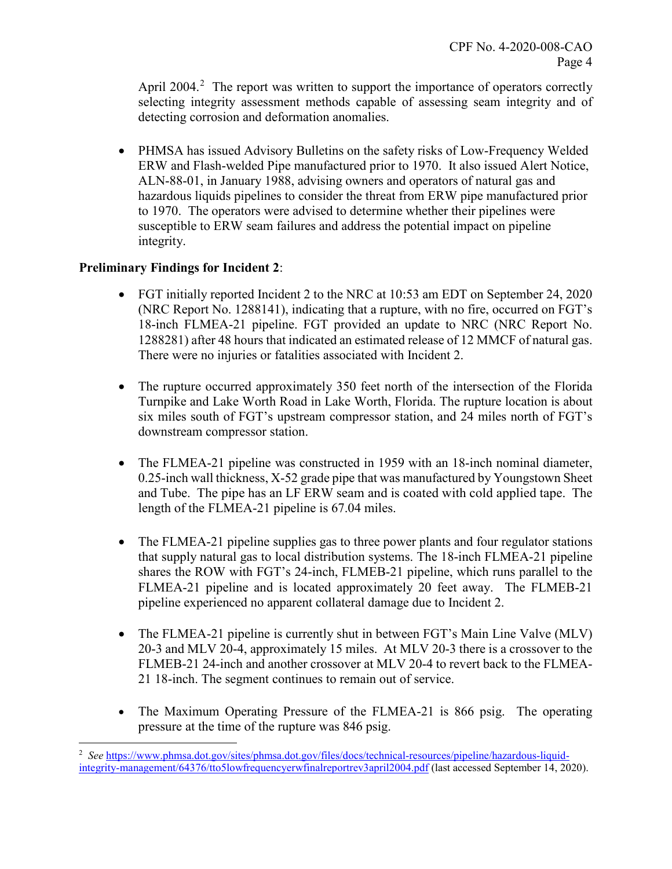April [2](#page-4-0)004.<sup>2</sup> The report was written to support the importance of operators correctly selecting integrity assessment methods capable of assessing seam integrity and of detecting corrosion and deformation anomalies.

• PHMSA has issued Advisory Bulletins on the safety risks of Low-Frequency Welded ERW and Flash-welded Pipe manufactured prior to 1970. It also issued Alert Notice, ALN-88-01, in January 1988, advising owners and operators of natural gas and hazardous liquids pipelines to consider the threat from ERW pipe manufactured prior to 1970. The operators were advised to determine whether their pipelines were susceptible to ERW seam failures and address the potential impact on pipeline integrity.

# **Preliminary Findings for Incident 2**:

l

- FGT initially reported Incident 2 to the NRC at 10:53 am EDT on September 24, 2020 (NRC Report No. 1288141), indicating that a rupture, with no fire, occurred on FGT's 18-inch FLMEA-21 pipeline. FGT provided an update to NRC (NRC Report No. 1288281) after 48 hours that indicated an estimated release of 12 MMCF of natural gas. There were no injuries or fatalities associated with Incident 2.
- The rupture occurred approximately 350 feet north of the intersection of the Florida Turnpike and Lake Worth Road in Lake Worth, Florida. The rupture location is about six miles south of FGT's upstream compressor station, and 24 miles north of FGT's downstream compressor station.
- The FLMEA-21 pipeline was constructed in 1959 with an 18-inch nominal diameter, 0.25-inch wall thickness, X-52 grade pipe that was manufactured by Youngstown Sheet and Tube. The pipe has an LF ERW seam and is coated with cold applied tape. The length of the FLMEA-21 pipeline is 67.04 miles.
- The FLMEA-21 pipeline supplies gas to three power plants and four regulator stations that supply natural gas to local distribution systems. The 18-inch FLMEA-21 pipeline shares the ROW with FGT's 24-inch, FLMEB-21 pipeline, which runs parallel to the FLMEA-21 pipeline and is located approximately 20 feet away. The FLMEB-21 pipeline experienced no apparent collateral damage due to Incident 2.
- The FLMEA-21 pipeline is currently shut in between FGT's Main Line Valve (MLV) 20-3 and MLV 20-4, approximately 15 miles. At MLV 20-3 there is a crossover to the FLMEB-21 24-inch and another crossover at MLV 20-4 to revert back to the FLMEA-21 18-inch. The segment continues to remain out of service.
- The Maximum Operating Pressure of the FLMEA-21 is 866 psig. The operating pressure at the time of the rupture was 846 psig.

<span id="page-4-0"></span><sup>2</sup> *See* [https://www.phmsa.dot.gov/sites/phmsa.dot.gov/files/docs/technical-resources/pipeline/hazardous-liquid](https://www.phmsa.dot.gov/sites/phmsa.dot.gov/files/docs/technical-resources/pipeline/hazardous-liquid-integrity-management/64376/tto5lowfrequencyerwfinalreportrev3april2004.pdf)[integrity-management/64376/tto5lowfrequencyerwfinalreportrev3april2004.pdf](https://www.phmsa.dot.gov/sites/phmsa.dot.gov/files/docs/technical-resources/pipeline/hazardous-liquid-integrity-management/64376/tto5lowfrequencyerwfinalreportrev3april2004.pdf) (last accessed September 14, 2020).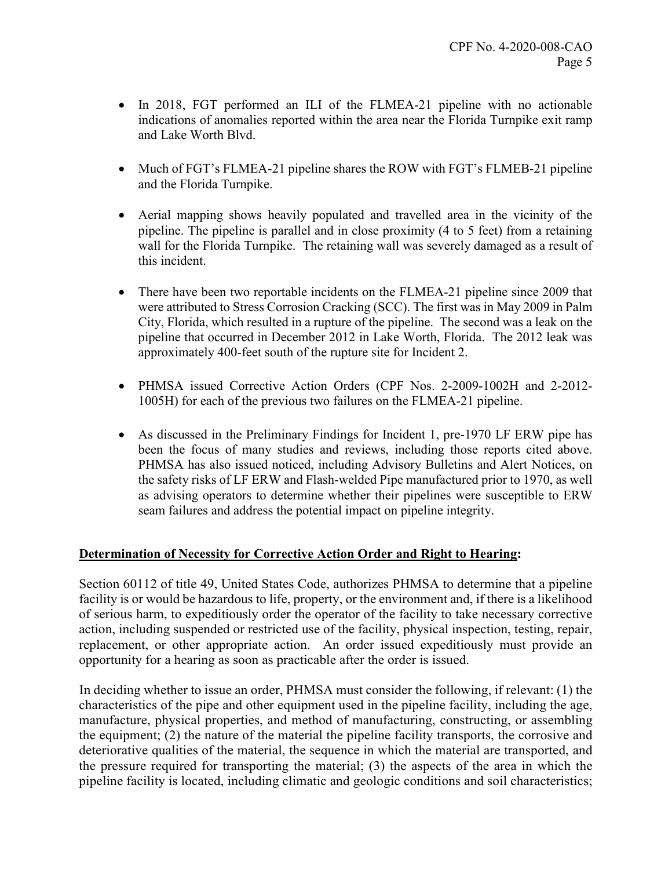- In 2018, FGT performed an ILI of the FLMEA-21 pipeline with no actionable indications of anomalies reported within the area near the Florida Turnpike exit ramp and Lake Worth Blvd.
- Much of FGT's FLMEA-21 pipeline shares the ROW with FGT's FLMEB-21 pipeline and the Florida Turnpike.
- Aerial mapping shows heavily populated and travelled area in the vicinity of the pipeline. The pipeline is parallel and in close proximity (4 to 5 feet) from a retaining wall for the Florida Turnpike. The retaining wall was severely damaged as a result of this incident.
- There have been two reportable incidents on the FLMEA-21 pipeline since 2009 that were attributed to Stress Corrosion Cracking (SCC). The first was in May 2009 in Palm City, Florida, which resulted in a rupture of the pipeline. The second was a leak on the pipeline that occurred in December 2012 in Lake Worth, Florida. The 2012 leak was approximately 400-feet south of the rupture site for Incident 2.
- PHMSA issued Corrective Action Orders (CPF Nos. 2-2009-1002H and 2-2012- 1005H) for each of the previous two failures on the FLMEA-21 pipeline.
- As discussed in the Preliminary Findings for Incident 1, pre-1970 LF ERW pipe has been the focus of many studies and reviews, including those reports cited above. PHMSA has also issued noticed, including Advisory Bulletins and Alert Notices, on the safety risks of LF ERW and Flash-welded Pipe manufactured prior to 1970, as well as advising operators to determine whether their pipelines were susceptible to ERW seam failures and address the potential impact on pipeline integrity.

# **Determination of Necessity for Corrective Action Order and Right to Hearing:**

Section 60112 of title 49, United States Code, authorizes PHMSA to determine that a pipeline facility is or would be hazardous to life, property, or the environment and, if there is a likelihood of serious harm, to expeditiously order the operator of the facility to take necessary corrective action, including suspended or restricted use of the facility, physical inspection, testing, repair, replacement, or other appropriate action. An order issued expeditiously must provide an opportunity for a hearing as soon as practicable after the order is issued.

In deciding whether to issue an order, PHMSA must consider the following, if relevant: (1) the characteristics of the pipe and other equipment used in the pipeline facility, including the age, manufacture, physical properties, and method of manufacturing, constructing, or assembling the equipment; (2) the nature of the material the pipeline facility transports, the corrosive and deteriorative qualities of the material, the sequence in which the material are transported, and the pressure required for transporting the material; (3) the aspects of the area in which the pipeline facility is located, including climatic and geologic conditions and soil characteristics;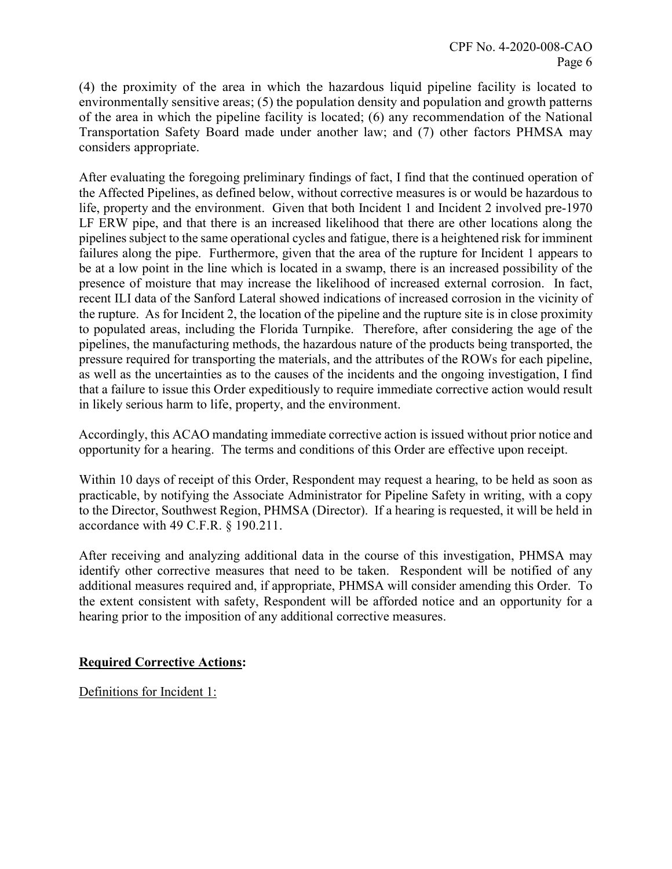(4) the proximity of the area in which the hazardous liquid pipeline facility is located to environmentally sensitive areas; (5) the population density and population and growth patterns of the area in which the pipeline facility is located; (6) any recommendation of the National Transportation Safety Board made under another law; and (7) other factors PHMSA may considers appropriate.

After evaluating the foregoing preliminary findings of fact, I find that the continued operation of the Affected Pipelines, as defined below, without corrective measures is or would be hazardous to life, property and the environment. Given that both Incident 1 and Incident 2 involved pre-1970 LF ERW pipe, and that there is an increased likelihood that there are other locations along the pipelines subject to the same operational cycles and fatigue, there is a heightened risk for imminent failures along the pipe. Furthermore, given that the area of the rupture for Incident 1 appears to be at a low point in the line which is located in a swamp, there is an increased possibility of the presence of moisture that may increase the likelihood of increased external corrosion. In fact, recent ILI data of the Sanford Lateral showed indications of increased corrosion in the vicinity of the rupture. As for Incident 2, the location of the pipeline and the rupture site is in close proximity to populated areas, including the Florida Turnpike. Therefore, after considering the age of the pipelines, the manufacturing methods, the hazardous nature of the products being transported, the pressure required for transporting the materials, and the attributes of the ROWs for each pipeline, as well as the uncertainties as to the causes of the incidents and the ongoing investigation, I find that a failure to issue this Order expeditiously to require immediate corrective action would result in likely serious harm to life, property, and the environment.

Accordingly, this ACAO mandating immediate corrective action is issued without prior notice and opportunity for a hearing. The terms and conditions of this Order are effective upon receipt.

Within 10 days of receipt of this Order, Respondent may request a hearing, to be held as soon as practicable, by notifying the Associate Administrator for Pipeline Safety in writing, with a copy to the Director, Southwest Region, PHMSA (Director). If a hearing is requested, it will be held in accordance with 49 C.F.R. § 190.211.

After receiving and analyzing additional data in the course of this investigation, PHMSA may identify other corrective measures that need to be taken. Respondent will be notified of any additional measures required and, if appropriate, PHMSA will consider amending this Order. To the extent consistent with safety, Respondent will be afforded notice and an opportunity for a hearing prior to the imposition of any additional corrective measures.

# **Required Corrective Actions:**

Definitions for Incident 1: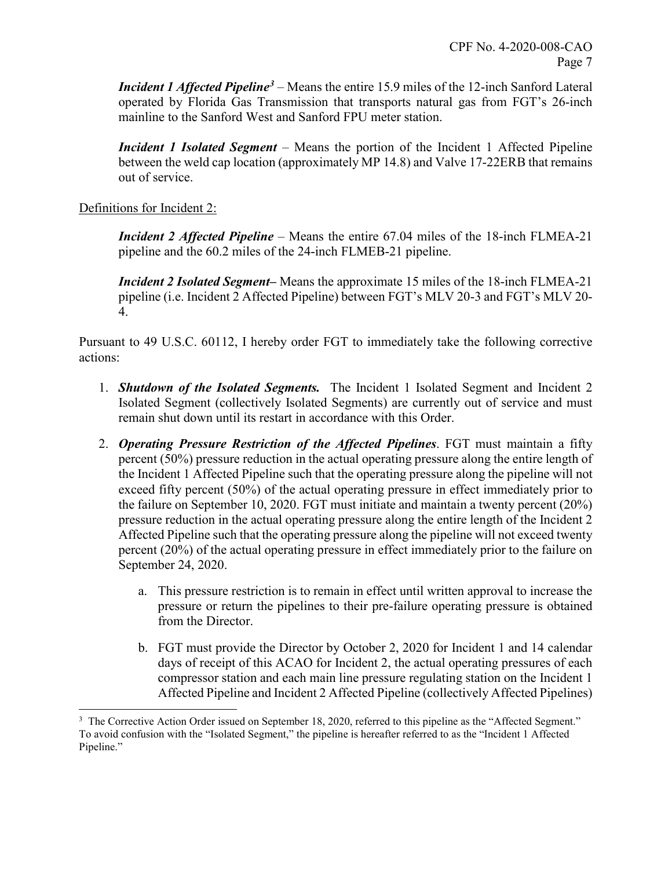*Incident 1 Affected Pipeline[3](#page-7-0)* – Means the entire 15.9 miles of the 12-inch Sanford Lateral operated by Florida Gas Transmission that transports natural gas from FGT's 26-inch mainline to the Sanford West and Sanford FPU meter station.

*Incident 1 Isolated Segment –* Means the portion of the Incident 1 Affected Pipeline between the weld cap location (approximately MP 14.8) and Valve 17-22ERB that remains out of service.

Definitions for Incident 2:

*Incident 2 Affected Pipeline* – Means the entire 67.04 miles of the 18-inch FLMEA-21 pipeline and the 60.2 miles of the 24-inch FLMEB-21 pipeline.

*Incident 2 Isolated Segment–* Means the approximate 15 miles of the 18-inch FLMEA-21 pipeline (i.e. Incident 2 Affected Pipeline) between FGT's MLV 20-3 and FGT's MLV 20- 4.

Pursuant to 49 U.S.C. 60112, I hereby order FGT to immediately take the following corrective actions:

- 1. *Shutdown of the Isolated Segments.* The Incident 1 Isolated Segment and Incident 2 Isolated Segment (collectively Isolated Segments) are currently out of service and must remain shut down until its restart in accordance with this Order.
- 2. *Operating Pressure Restriction of the Affected Pipelines*. FGT must maintain a fifty percent (50%) pressure reduction in the actual operating pressure along the entire length of the Incident 1 Affected Pipeline such that the operating pressure along the pipeline will not exceed fifty percent (50%) of the actual operating pressure in effect immediately prior to the failure on September 10, 2020. FGT must initiate and maintain a twenty percent (20%) pressure reduction in the actual operating pressure along the entire length of the Incident 2 Affected Pipeline such that the operating pressure along the pipeline will not exceed twenty percent (20%) of the actual operating pressure in effect immediately prior to the failure on September 24, 2020.
	- a. This pressure restriction is to remain in effect until written approval to increase the pressure or return the pipelines to their pre-failure operating pressure is obtained from the Director.
	- b. FGT must provide the Director by October 2, 2020 for Incident 1 and 14 calendar days of receipt of this ACAO for Incident 2, the actual operating pressures of each compressor station and each main line pressure regulating station on the Incident 1 Affected Pipeline and Incident 2 Affected Pipeline (collectively Affected Pipelines)

<span id="page-7-0"></span>l <sup>3</sup> The Corrective Action Order issued on September 18, 2020, referred to this pipeline as the "Affected Segment." To avoid confusion with the "Isolated Segment," the pipeline is hereafter referred to as the "Incident 1 Affected Pipeline."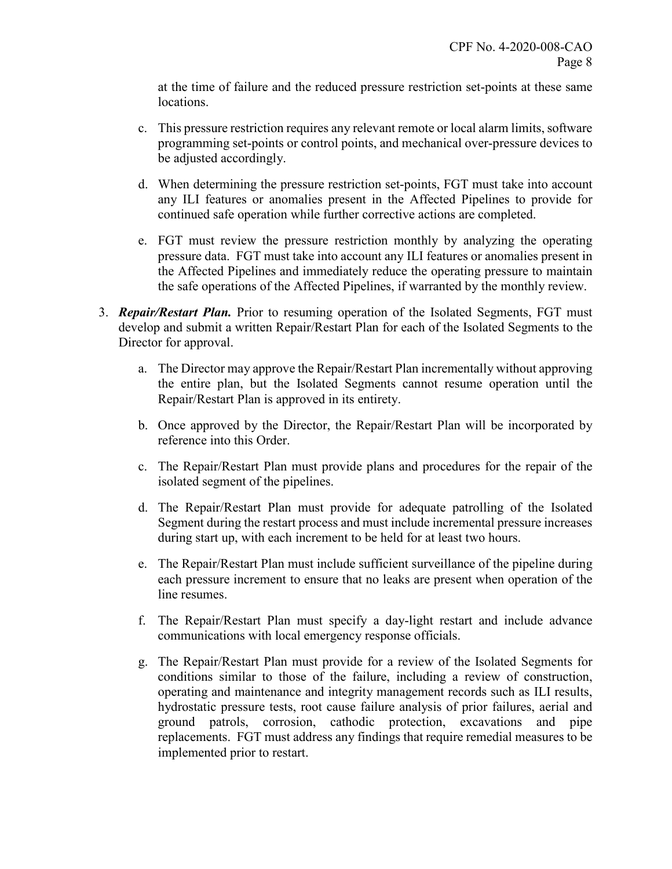at the time of failure and the reduced pressure restriction set-points at these same locations.

- c. This pressure restriction requires any relevant remote or local alarm limits, software programming set-points or control points, and mechanical over-pressure devices to be adjusted accordingly.
- d. When determining the pressure restriction set-points, FGT must take into account any ILI features or anomalies present in the Affected Pipelines to provide for continued safe operation while further corrective actions are completed.
- e. FGT must review the pressure restriction monthly by analyzing the operating pressure data. FGT must take into account any ILI features or anomalies present in the Affected Pipelines and immediately reduce the operating pressure to maintain the safe operations of the Affected Pipelines, if warranted by the monthly review.
- 3. *Repair/Restart Plan.* Prior to resuming operation of the Isolated Segments, FGT must develop and submit a written Repair/Restart Plan for each of the Isolated Segments to the Director for approval.
	- a. The Director may approve the Repair/Restart Plan incrementally without approving the entire plan, but the Isolated Segments cannot resume operation until the Repair/Restart Plan is approved in its entirety.
	- b. Once approved by the Director, the Repair/Restart Plan will be incorporated by reference into this Order.
	- c. The Repair/Restart Plan must provide plans and procedures for the repair of the isolated segment of the pipelines.
	- d. The Repair/Restart Plan must provide for adequate patrolling of the Isolated Segment during the restart process and must include incremental pressure increases during start up, with each increment to be held for at least two hours.
	- e. The Repair/Restart Plan must include sufficient surveillance of the pipeline during each pressure increment to ensure that no leaks are present when operation of the line resumes.
	- f. The Repair/Restart Plan must specify a day-light restart and include advance communications with local emergency response officials.
	- g. The Repair/Restart Plan must provide for a review of the Isolated Segments for conditions similar to those of the failure, including a review of construction, operating and maintenance and integrity management records such as ILI results, hydrostatic pressure tests, root cause failure analysis of prior failures, aerial and ground patrols, corrosion, cathodic protection, excavations and pipe replacements. FGT must address any findings that require remedial measures to be implemented prior to restart.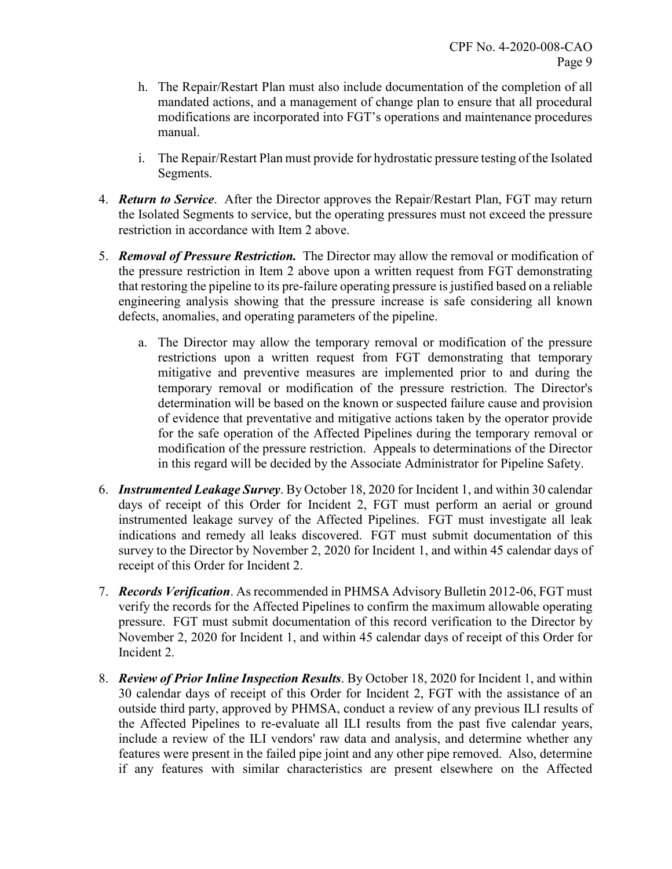- h. The Repair/Restart Plan must also include documentation of the completion of all mandated actions, and a management of change plan to ensure that all procedural modifications are incorporated into FGT's operations and maintenance procedures manual.
- i. The Repair/Restart Plan must provide for hydrostatic pressure testing of the Isolated Segments.
- 4. *Return to Service*. After the Director approves the Repair/Restart Plan, FGT may return the Isolated Segments to service, but the operating pressures must not exceed the pressure restriction in accordance with Item 2 above.
- 5. *Removal of Pressure Restriction.* The Director may allow the removal or modification of the pressure restriction in Item 2 above upon a written request from FGT demonstrating that restoring the pipeline to its pre-failure operating pressure is justified based on a reliable engineering analysis showing that the pressure increase is safe considering all known defects, anomalies, and operating parameters of the pipeline.
	- a. The Director may allow the temporary removal or modification of the pressure restrictions upon a written request from FGT demonstrating that temporary mitigative and preventive measures are implemented prior to and during the temporary removal or modification of the pressure restriction. The Director's determination will be based on the known or suspected failure cause and provision of evidence that preventative and mitigative actions taken by the operator provide for the safe operation of the Affected Pipelines during the temporary removal or modification of the pressure restriction. Appeals to determinations of the Director in this regard will be decided by the Associate Administrator for Pipeline Safety.
- 6. *Instrumented Leakage Survey*. By October 18, 2020 for Incident 1, and within 30 calendar days of receipt of this Order for Incident 2, FGT must perform an aerial or ground instrumented leakage survey of the Affected Pipelines. FGT must investigate all leak indications and remedy all leaks discovered. FGT must submit documentation of this survey to the Director by November 2, 2020 for Incident 1, and within 45 calendar days of receipt of this Order for Incident 2.
- 7. *Records Verification*. As recommended in PHMSA Advisory Bulletin 2012-06, FGT must verify the records for the Affected Pipelines to confirm the maximum allowable operating pressure. FGT must submit documentation of this record verification to the Director by November 2, 2020 for Incident 1, and within 45 calendar days of receipt of this Order for Incident 2.
- 8. *Review of Prior Inline Inspection Results*. By October 18, 2020 for Incident 1, and within 30 calendar days of receipt of this Order for Incident 2, FGT with the assistance of an outside third party, approved by PHMSA, conduct a review of any previous ILI results of the Affected Pipelines to re-evaluate all ILI results from the past five calendar years, include a review of the ILI vendors' raw data and analysis, and determine whether any features were present in the failed pipe joint and any other pipe removed. Also, determine if any features with similar characteristics are present elsewhere on the Affected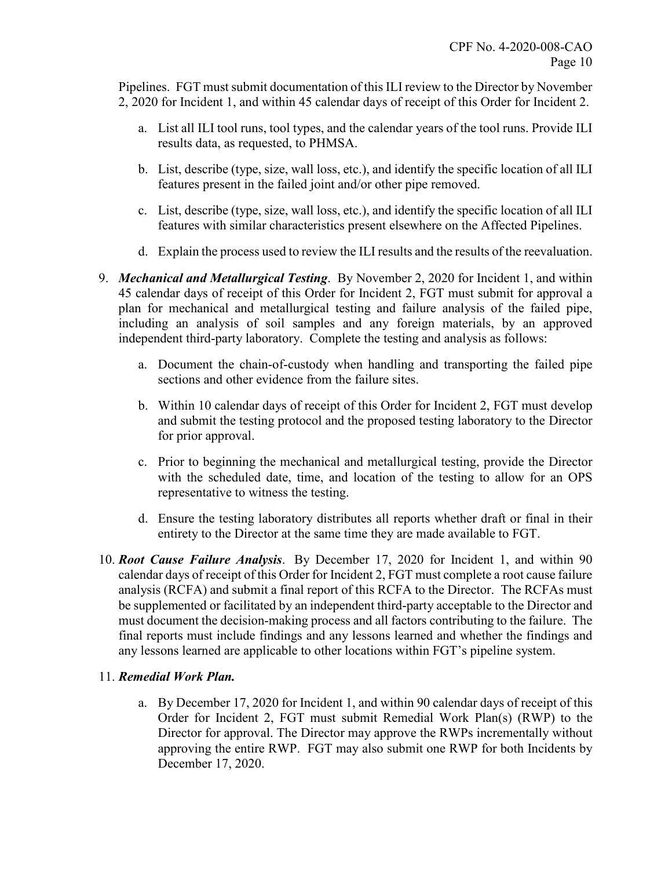Pipelines. FGT must submit documentation of this ILI review to the Director by November 2, 2020 for Incident 1, and within 45 calendar days of receipt of this Order for Incident 2.

- a. List all ILI tool runs, tool types, and the calendar years of the tool runs. Provide ILI results data, as requested, to PHMSA.
- b. List, describe (type, size, wall loss, etc.), and identify the specific location of all ILI features present in the failed joint and/or other pipe removed.
- c. List, describe (type, size, wall loss, etc.), and identify the specific location of all ILI features with similar characteristics present elsewhere on the Affected Pipelines.
- d. Explain the process used to review the ILI results and the results of the reevaluation.
- 9. *Mechanical and Metallurgical Testing*. By November 2, 2020 for Incident 1, and within 45 calendar days of receipt of this Order for Incident 2, FGT must submit for approval a plan for mechanical and metallurgical testing and failure analysis of the failed pipe, including an analysis of soil samples and any foreign materials, by an approved independent third-party laboratory. Complete the testing and analysis as follows:
	- a. Document the chain-of-custody when handling and transporting the failed pipe sections and other evidence from the failure sites.
	- b. Within 10 calendar days of receipt of this Order for Incident 2, FGT must develop and submit the testing protocol and the proposed testing laboratory to the Director for prior approval.
	- c. Prior to beginning the mechanical and metallurgical testing, provide the Director with the scheduled date, time, and location of the testing to allow for an OPS representative to witness the testing.
	- d. Ensure the testing laboratory distributes all reports whether draft or final in their entirety to the Director at the same time they are made available to FGT.
- 10. *Root Cause Failure Analysis*. By December 17, 2020 for Incident 1, and within 90 calendar days of receipt of this Order for Incident 2, FGT must complete a root cause failure analysis (RCFA) and submit a final report of this RCFA to the Director. The RCFAs must be supplemented or facilitated by an independent third-party acceptable to the Director and must document the decision-making process and all factors contributing to the failure. The final reports must include findings and any lessons learned and whether the findings and any lessons learned are applicable to other locations within FGT's pipeline system.

# 11. *Remedial Work Plan.*

a. By December 17, 2020 for Incident 1, and within 90 calendar days of receipt of this Order for Incident 2, FGT must submit Remedial Work Plan(s) (RWP) to the Director for approval. The Director may approve the RWPs incrementally without approving the entire RWP. FGT may also submit one RWP for both Incidents by December 17, 2020.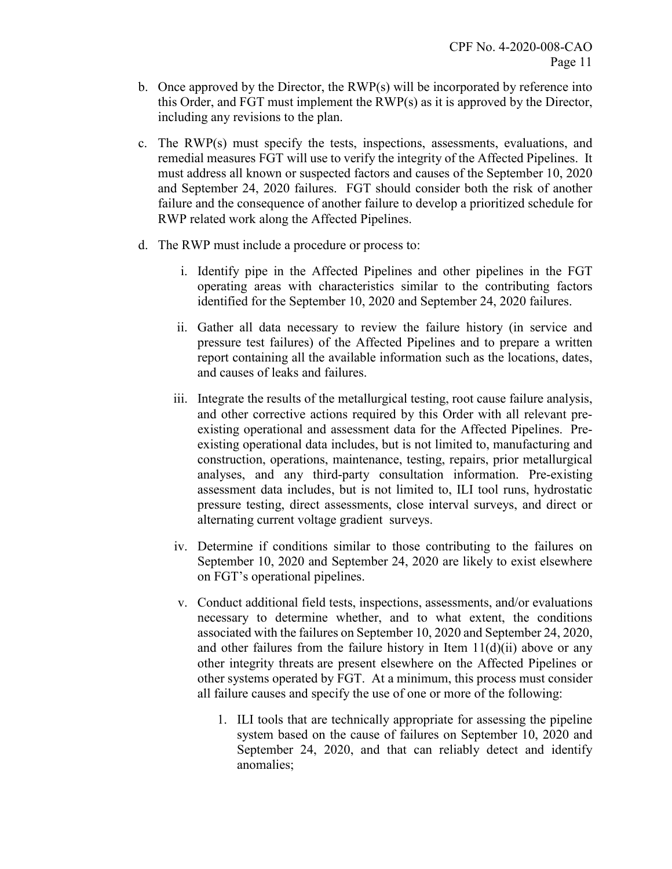- b. Once approved by the Director, the  $RWP(s)$  will be incorporated by reference into this Order, and FGT must implement the RWP(s) as it is approved by the Director, including any revisions to the plan.
- c. The RWP(s) must specify the tests, inspections, assessments, evaluations, and remedial measures FGT will use to verify the integrity of the Affected Pipelines. It must address all known or suspected factors and causes of the September 10, 2020 and September 24, 2020 failures. FGT should consider both the risk of another failure and the consequence of another failure to develop a prioritized schedule for RWP related work along the Affected Pipelines.
- d. The RWP must include a procedure or process to:
	- i. Identify pipe in the Affected Pipelines and other pipelines in the FGT operating areas with characteristics similar to the contributing factors identified for the September 10, 2020 and September 24, 2020 failures.
	- ii. Gather all data necessary to review the failure history (in service and pressure test failures) of the Affected Pipelines and to prepare a written report containing all the available information such as the locations, dates, and causes of leaks and failures.
	- iii. Integrate the results of the metallurgical testing, root cause failure analysis, and other corrective actions required by this Order with all relevant preexisting operational and assessment data for the Affected Pipelines. Preexisting operational data includes, but is not limited to, manufacturing and construction, operations, maintenance, testing, repairs, prior metallurgical analyses, and any third-party consultation information. Pre-existing assessment data includes, but is not limited to, ILI tool runs, hydrostatic pressure testing, direct assessments, close interval surveys, and direct or alternating current voltage gradient surveys.
	- iv. Determine if conditions similar to those contributing to the failures on September 10, 2020 and September 24, 2020 are likely to exist elsewhere on FGT's operational pipelines.
	- v. Conduct additional field tests, inspections, assessments, and/or evaluations necessary to determine whether, and to what extent, the conditions associated with the failures on September 10, 2020 and September 24, 2020, and other failures from the failure history in Item  $11(d)(ii)$  above or any other integrity threats are present elsewhere on the Affected Pipelines or other systems operated by FGT. At a minimum, this process must consider all failure causes and specify the use of one or more of the following:
		- 1. ILI tools that are technically appropriate for assessing the pipeline system based on the cause of failures on September 10, 2020 and September 24, 2020, and that can reliably detect and identify anomalies;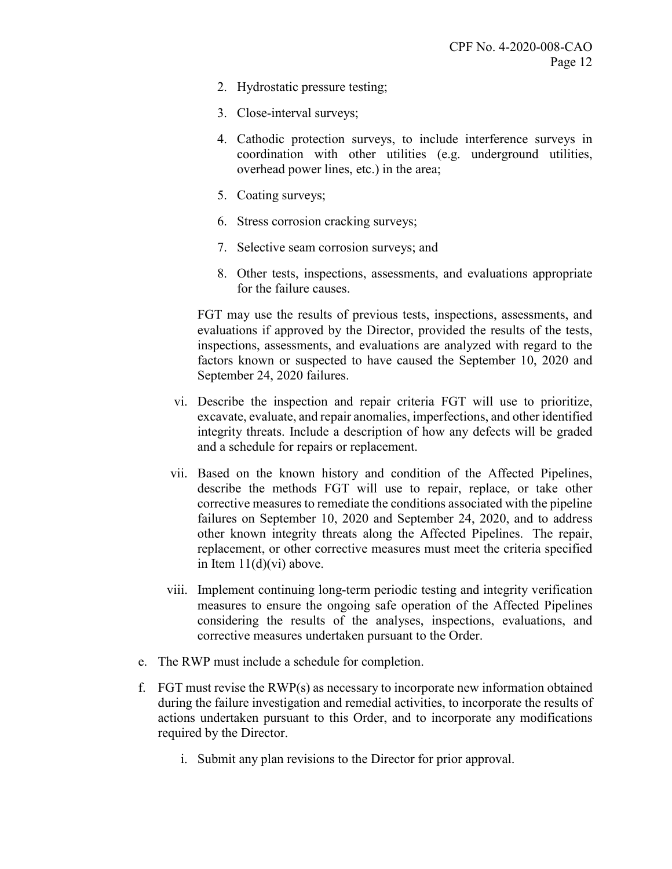- 2. Hydrostatic pressure testing;
- 3. Close-interval surveys;
- 4. Cathodic protection surveys, to include interference surveys in coordination with other utilities (e.g. underground utilities, overhead power lines, etc.) in the area;
- 5. Coating surveys;
- 6. Stress corrosion cracking surveys;
- 7. Selective seam corrosion surveys; and
- 8. Other tests, inspections, assessments, and evaluations appropriate for the failure causes.

FGT may use the results of previous tests, inspections, assessments, and evaluations if approved by the Director, provided the results of the tests, inspections, assessments, and evaluations are analyzed with regard to the factors known or suspected to have caused the September 10, 2020 and September 24, 2020 failures.

- vi. Describe the inspection and repair criteria FGT will use to prioritize, excavate, evaluate, and repair anomalies, imperfections, and other identified integrity threats. Include a description of how any defects will be graded and a schedule for repairs or replacement.
- vii. Based on the known history and condition of the Affected Pipelines, describe the methods FGT will use to repair, replace, or take other corrective measures to remediate the conditions associated with the pipeline failures on September 10, 2020 and September 24, 2020, and to address other known integrity threats along the Affected Pipelines. The repair, replacement, or other corrective measures must meet the criteria specified in Item 11(d)(vi) above.
- viii. Implement continuing long-term periodic testing and integrity verification measures to ensure the ongoing safe operation of the Affected Pipelines considering the results of the analyses, inspections, evaluations, and corrective measures undertaken pursuant to the Order.
- e. The RWP must include a schedule for completion.
- f. FGT must revise the RWP(s) as necessary to incorporate new information obtained during the failure investigation and remedial activities, to incorporate the results of actions undertaken pursuant to this Order, and to incorporate any modifications required by the Director.
	- i. Submit any plan revisions to the Director for prior approval.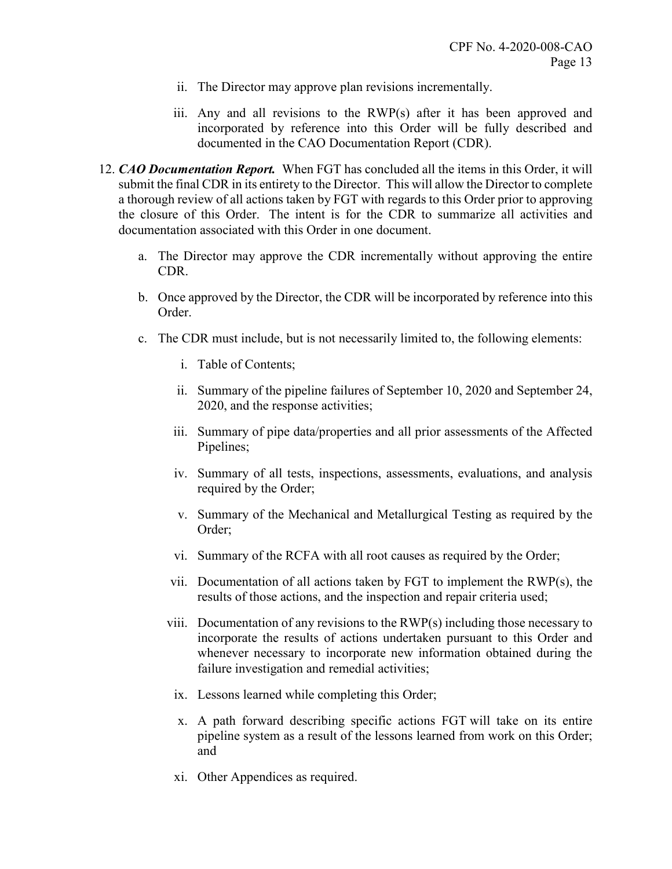- ii. The Director may approve plan revisions incrementally.
- iii. Any and all revisions to the RWP(s) after it has been approved and incorporated by reference into this Order will be fully described and documented in the CAO Documentation Report (CDR).
- 12. *CAO Documentation Report.* When FGT has concluded all the items in this Order, it will submit the final CDR in its entirety to the Director. This will allow the Director to complete a thorough review of all actions taken by FGT with regards to this Order prior to approving the closure of this Order. The intent is for the CDR to summarize all activities and documentation associated with this Order in one document.
	- a. The Director may approve the CDR incrementally without approving the entire CDR.
	- b. Once approved by the Director, the CDR will be incorporated by reference into this Order.
	- c. The CDR must include, but is not necessarily limited to, the following elements:
		- i. Table of Contents;
		- ii. Summary of the pipeline failures of September 10, 2020 and September 24, 2020, and the response activities;
		- iii. Summary of pipe data/properties and all prior assessments of the Affected Pipelines;
		- iv. Summary of all tests, inspections, assessments, evaluations, and analysis required by the Order;
		- v. Summary of the Mechanical and Metallurgical Testing as required by the Order;
		- vi. Summary of the RCFA with all root causes as required by the Order;
		- vii. Documentation of all actions taken by FGT to implement the RWP(s), the results of those actions, and the inspection and repair criteria used;
		- viii. Documentation of any revisions to the RWP(s) including those necessary to incorporate the results of actions undertaken pursuant to this Order and whenever necessary to incorporate new information obtained during the failure investigation and remedial activities;
			- ix. Lessons learned while completing this Order;
			- x. A path forward describing specific actions FGT will take on its entire pipeline system as a result of the lessons learned from work on this Order; and
		- xi. Other Appendices as required.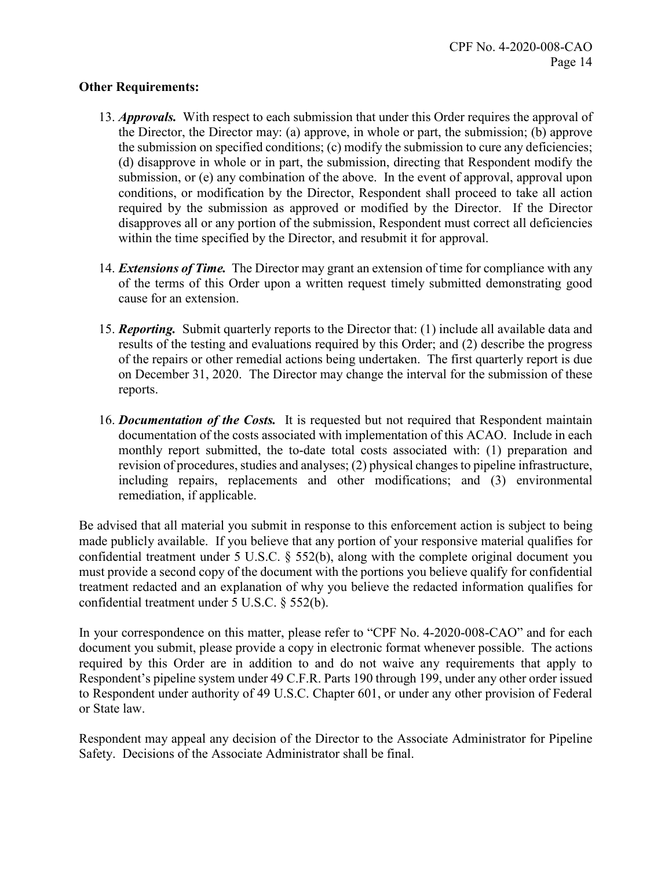#### **Other Requirements:**

- 13. *Approvals.* With respect to each submission that under this Order requires the approval of the Director, the Director may: (a) approve, in whole or part, the submission; (b) approve the submission on specified conditions; (c) modify the submission to cure any deficiencies; (d) disapprove in whole or in part, the submission, directing that Respondent modify the submission, or (e) any combination of the above. In the event of approval, approval upon conditions, or modification by the Director, Respondent shall proceed to take all action required by the submission as approved or modified by the Director. If the Director disapproves all or any portion of the submission, Respondent must correct all deficiencies within the time specified by the Director, and resubmit it for approval.
- 14. *Extensions of Time.* The Director may grant an extension of time for compliance with any of the terms of this Order upon a written request timely submitted demonstrating good cause for an extension.
- 15. *Reporting.* Submit quarterly reports to the Director that: (1) include all available data and results of the testing and evaluations required by this Order; and (2) describe the progress of the repairs or other remedial actions being undertaken. The first quarterly report is due on December 31, 2020. The Director may change the interval for the submission of these reports.
- 16. *Documentation of the Costs.* It is requested but not required that Respondent maintain documentation of the costs associated with implementation of this ACAO. Include in each monthly report submitted, the to-date total costs associated with: (1) preparation and revision of procedures, studies and analyses; (2) physical changes to pipeline infrastructure, including repairs, replacements and other modifications; and (3) environmental remediation, if applicable.

Be advised that all material you submit in response to this enforcement action is subject to being made publicly available. If you believe that any portion of your responsive material qualifies for confidential treatment under 5 U.S.C. § 552(b), along with the complete original document you must provide a second copy of the document with the portions you believe qualify for confidential treatment redacted and an explanation of why you believe the redacted information qualifies for confidential treatment under 5 U.S.C. § 552(b).

In your correspondence on this matter, please refer to "CPF No. 4-2020-008-CAO" and for each document you submit, please provide a copy in electronic format whenever possible. The actions required by this Order are in addition to and do not waive any requirements that apply to Respondent's pipeline system under 49 C.F.R. Parts 190 through 199, under any other order issued to Respondent under authority of 49 U.S.C. Chapter 601, or under any other provision of Federal or State law.

Respondent may appeal any decision of the Director to the Associate Administrator for Pipeline Safety. Decisions of the Associate Administrator shall be final.